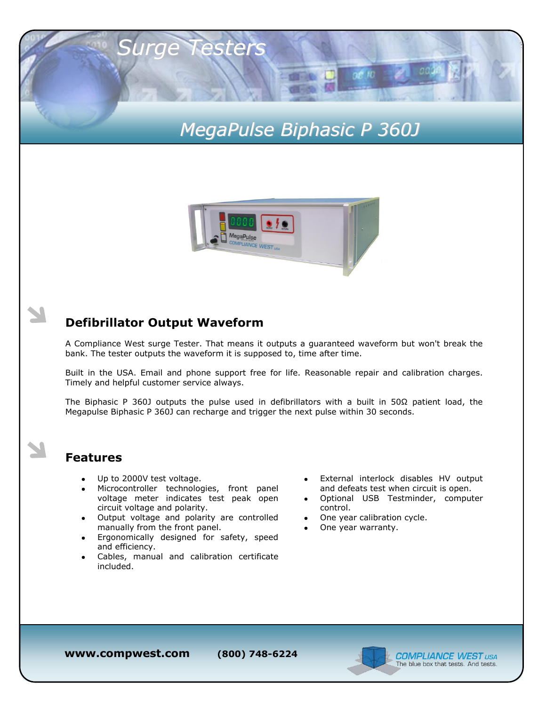# *MegaPulse Biphasic P 360J*

 $00E$  RD



### **Defibrillator Output Waveform**

*Surge Testers*

A Compliance West surge Tester. That means it outputs a guaranteed waveform but won't break the bank. The tester outputs the waveform it is supposed to, time after time.

Built in the USA. Email and phone support free for life. Reasonable repair and calibration charges. Timely and helpful customer service always.

The Biphasic P 360J outputs the pulse used in defibrillators with a built in 50 $\Omega$  patient load, the Megapulse Biphasic P 360J can recharge and trigger the next pulse within 30 seconds.

#### **Features**

- Up to 2000V test voltage.
- Microcontroller technologies, front panel voltage meter indicates test peak open circuit voltage and polarity.
- Output voltage and polarity are controlled manually from the front panel.
- Ergonomically designed for safety, speed and efficiency.
- Cables, manual and calibration certificate included.
- External interlock disables HV output and defeats test when circuit is open.
- Optional USB Testminder, computer control.
- One year calibration cycle.
- One year warranty.

**www.compwest.com (800) 748-6224**